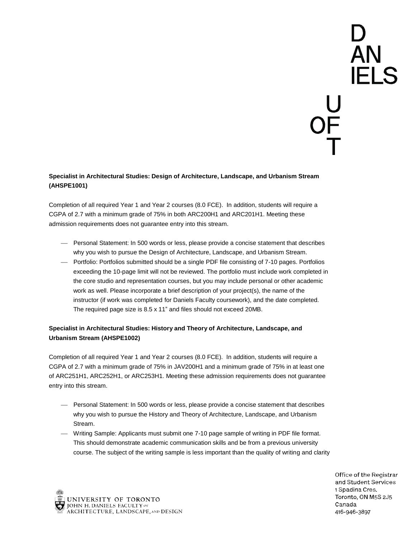# D<br>AN<br>IELS U<br>JF<br>T

# **Specialist in Architectural Studies: Design of Architecture, Landscape, and Urbanism Stream (AHSPE1001)**

Completion of all required Year 1 and Year 2 courses (8.0 FCE). In addition, students will require a CGPA of 2.7 with a minimum grade of 75% in both ARC200H1 and ARC201H1. Meeting these admission requirements does not guarantee entry into this stream.

- Personal Statement: In 500 words or less, please provide a concise statement that describes why you wish to pursue the Design of Architecture, Landscape, and Urbanism Stream.
- Portfolio: Portfolios submitted should be a single PDF file consisting of 7-10 pages. Portfolios exceeding the 10-page limit will not be reviewed. The portfolio must include work completed in the core studio and representation courses, but you may include personal or other academic work as well. Please incorporate a brief description of your project(s), the name of the instructor (if work was completed for Daniels Faculty coursework), and the date completed. The required page size is 8.5 x 11" and files should not exceed 20MB.

# **Specialist in Architectural Studies: History and Theory of Architecture, Landscape, and Urbanism Stream (AHSPE1002)**

Completion of all required Year 1 and Year 2 courses (8.0 FCE). In addition, students will require a CGPA of 2.7 with a minimum grade of 75% in JAV200H1 and a minimum grade of 75% in at least one of ARC251H1, ARC252H1, or ARC253H1. Meeting these admission requirements does not guarantee entry into this stream.

- Personal Statement: In 500 words or less, please provide a concise statement that describes why you wish to pursue the History and Theory of Architecture, Landscape, and Urbanism Stream.
- Writing Sample: Applicants must submit one 7-10 page sample of writing in PDF file format. This should demonstrate academic communication skills and be from a previous university course. The subject of the writing sample is less important than the quality of writing and clarity



Office of the Registrar and Student Services 1 Spadina Cres. Toronto, ON M5S 2J5 Canada 416-946-3897